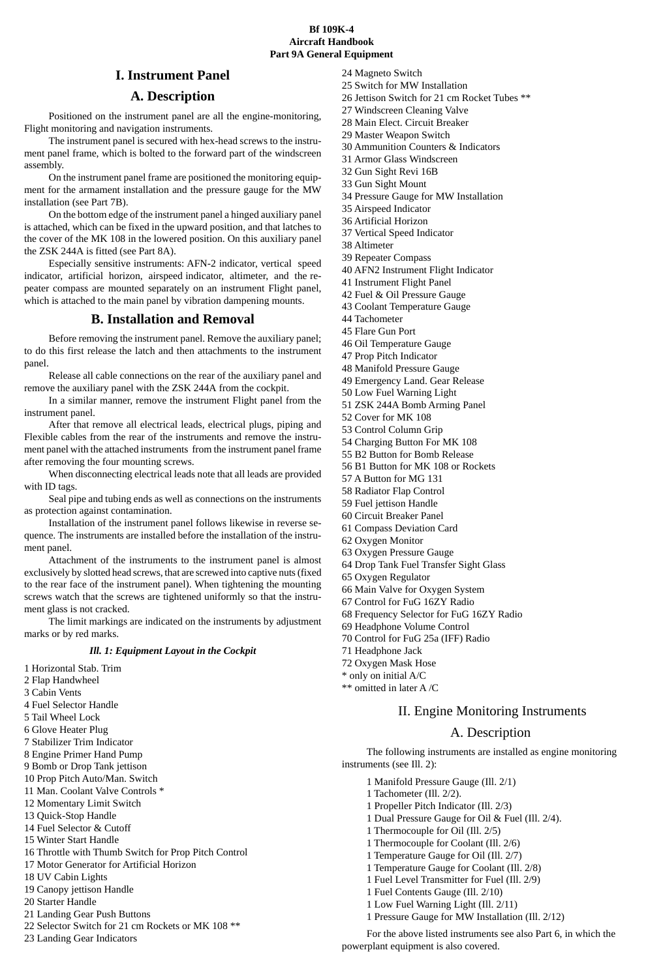#### **Bf 109K-4 Aircraft Handbook Part 9A General Equipment**

## **I. Instrument Panel**

## **A. Description**

Positioned on the instrument panel are all the engine-monitoring, Flight monitoring and navigation instruments.

The instrument panel is secured with hex-head screws to the instrument panel frame, which is bolted to the forward part of the windscreen assembly.

On the instrument panel frame are positioned the monitoring equipment for the armament installation and the pressure gauge for the MW installation (see Part 7B).

On the bottom edge of the instrument panel a hinged auxiliary panel is attached, which can be fixed in the upward position, and that latches to the cover of the MK 108 in the lowered position. On this auxiliary panel the ZSK 244A is fitted (see Part 8A).

Especially sensitive instruments: AFN-2 indicator, vertical speed indicator, artificial horizon, airspeed indicator, altimeter, and the repeater compass are mounted separately on an instrument Flight panel, which is attached to the main panel by vibration dampening mounts.

#### **B. Installation and Removal**

Before removing the instrument panel. Remove the auxiliary panel; to do this first release the latch and then attachments to the instrument panel.

Release all cable connections on the rear of the auxiliary panel and remove the auxiliary panel with the ZSK 244A from the cockpit. anner, remove the instrument Flight panel from the instrument panel.

After that remove all electrical leads, electrical plugs, piping and Flexible cables from the rear of the instruments and remove the  $\frac{1}{2}$ ment panel with the attached instruments from the instrument panel frame after removing the four mounting screws.

When disconnecting electrical leads note that all leads are provided with ID tags.

Seal pipe and tubing ends as well as connections on the instruments as protection against contamination.

Installation of the instrument panel follows likewise in reverse sequence. The instruments are installed before the installation of the instrument panel.

Attachment of the instruments to the instrument panel is almost exclusively by slotted head screws, that are screwed into captive nuts (fixed to the rear face of the instrument panel). When tightening the mounting screws watch that the screws are tightened uniformly so that the instrument glass is not cracked.

The limit markings are indicated on the instruments by adjustment marks or by red marks.

#### *Ill. 1: Equipment Layout in the Cockpit*

- 1 Horizontal Stab. Trim
- 2 Flap Handwheel
- 3 Cabin Vents 4 Fuel Selector Handle
- 5 Tail Wheel Lock
- 
- 6 Glove Heater Plug
- 7 Stabilizer Trim Indicator
- 8 Engine Primer Hand Pump
- 9 Bomb or Drop Tank jettison
- 10 Prop Pitch Auto/Man. Switch
- 11 Man. Coolant Valve Controls \*
- 12 Momentary Limit Switch
- 13 Quick-Stop Handle
- 14 Fuel Selector & Cutoff
- 15 Winter Start Handle
- 16 Throttle with Thumb Switch for Prop Pitch Control
- 17 Motor Generator for Artificial Horizon
- 18 UV Cabin Lights
- 19 Canopy jettison Handle
- 20 Starter Handle
- 
- 21 Landing Gear Push Buttons 22 Selector Switch for 21 cm Rockets or MK 108 \*\*
- 23 Landing Gear Indicators
- 24 Magneto Switch 25 Switch for MW Installation
- 26 Jettison Switch for 21 cm Rocket Tubes \*\*
- 27 Windscreen Cleaning Valve
- 28 Main Elect. Circuit Breaker
- 29 Master Weapon Switch
- 30 Ammunition Counters & Indicators
- 31 Armor Glass Windscreen
- 32 Gun Sight Revi 16B
- 33 Gun Sight Mount
- 34 Pressure Gauge for MW Installation 35 Airspeed Indicator
- 36 Artificial Horizon
- 37 Vertical Speed Indicator
- 38 Altimeter
- 39 Repeater Compass
- 40 AFN2 Instrument Flight Indicator
- 41 Instrument Flight Panel
- 42 Fuel & Oil Pressure Gauge
- 43 Coolant Temperature Gauge
- 44 Tachometer
- 45 Flare Gun Port
- 46 Oil Temperature Gauge
- 47 Prop Pitch Indicator 48 Manifold Pressure Gauge
- 49 Emergency Land. Gear Release
- 50 Low Fuel Warning Light
- 51 ZSK 244A Bomb Arming Panel
- 52 Cover for MK 108
- 53 Control Column Grip
- 54 Charging Button For MK 108 55 B2 Button for Bomb Release
- 56 B1 Button for MK 108 or Rockets
- 57 A Button for MG 131
- 58 Radiator Flap Control
- 59 Fuel jettison Handle
- 60 Circuit Breaker Panel
- 61 Compass Deviation Card
- 62 Oxygen Monitor 63 Oxygen Pressure Gauge
- 64 Drop Tank Fuel Transfer Sight Glass
- 65 Oxygen Regulator
- 66 Main Valve for Oxygen System 67 Control for FuG 16ZY Radio
- 68 Frequency Selector for FuG 16ZY Radio
- 69 Headphone Volume Control
- 70 Control for FuG 25a (IFF) Radio
- 71 Headphone Jack
- 72 Oxygen Mask Hose
- \* only on initial A/C
- \*\* omitted in later A /C

#### II. Engine Monitoring Instruments

### A. Description

For the above listed instruments see also Part 6, in which the

- The following instruments are installed as engine monitoring instruments (see Ill. 2):
	-
	- 1 Manifold Pressure Gauge (Ill. 2/1) 1 Tachometer (Ill. 2/2).
	- 1 Propeller Pitch Indicator (Ill. 2/3)
	- 1 Dual Pressure Gauge for Oil & Fuel (Ill. 2/4).
	- 1 Thermocouple for Oil (Ill. 2/5)
	- 1 Thermocouple for Coolant (Ill. 2/6)
	- 1 Temperature Gauge for Oil (Ill. 2/7)
	- 1 Temperature Gauge for Coolant (Ill. 2/8) 1 Fuel Level Transmitter for Fuel (Ill. 2/9)
	-
	- 1 Fuel Contents Gauge (Ill. 2/10)

powerplant equipment is also covered.

1 Low Fuel Warning Light (Ill. 2/11) 1 Pressure Gauge for MW Installation (Ill. 2/12)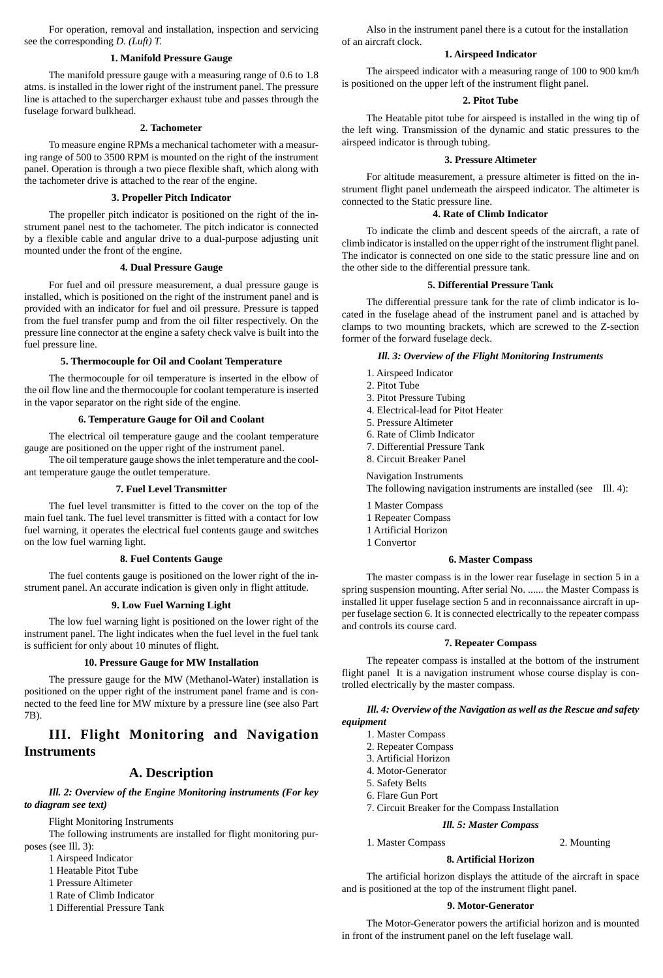For operation, removal and installation, inspection and servicing see the corresponding *D. (Luft) T.*

### **1. Manifold Pressure Gauge**

The manifold pressure gauge with a measuring range of 0.6 to 1.8 atms. is installed in the lower right of the instrument panel. The pressure line is attached to the supercharger exhaust tube and passes through the fuselage forward bulkhead.

#### **2. Tachometer**

To measure engine RPMs a mechanical tachometer with a measuring range of 500 to 3500 RPM is mounted on the right of the instrument panel. Operation is through a two piece flexible shaft, which along with the tachometer drive is attached to the rear of the engine.

### **3. Propeller Pitch Indicator**

The propeller pitch indicator is positioned on the right of the instrument panel nest to the tachometer. The pitch indicator is connected by a flexible cable and angular drive to a dual-purpose adjusting unit mounted under the front of the engine.

#### **4. Dual Pressure Gauge**

For fuel and oil pressure measurement, a dual pressure gauge is installed, which is positioned on the right of the instrument panel and is provided with an indicator for fuel and oil pressure. Pressure is tapped from the fuel transfer pump and from the oil filter respectively. On the pressure line connector at the engine a safety check valve is built into the fuel pressure line.

### **5. Thermocouple for Oil and Coolant Temperature**

The thermocouple for oil temperature is inserted in the elbow of the oil flow line and the thermocouple for coolant temperature is inserted in the vapor separator on the right side of the engine.

#### **6. Temperature Gauge for Oil and Coolant**

The electrical oil temperature gauge and the coolant temperature gauge are positioned on the upper right of the instrument panel.

The oil temperature gauge shows the inlet temperature and the coolant temperature gauge the outlet temperature.

#### **7. Fuel Level Transmitter**

The fuel level transmitter is fitted to the cover on the top of the main fuel tank. The fuel level transmitter is fitted with a contact for low fuel warning, it operates the electrical fuel contents gauge and switches on the low fuel warning light.

## **8. Fuel Contents Gauge**

The fuel contents gauge is positioned on the lower right of the instrument panel. An accurate indication is given only in flight attitude.

# **9. Low Fuel Warning Light**

The low fuel warning light is positioned on the lower right of the instrument panel. The light indicates when the fuel level in the fuel tank is sufficient for only about 10 minutes of flight.

#### **10. Pressure Gauge for MW Installation**

The pressure gauge for the MW (Methanol-Water) installation is positioned on the upper right of the instrument panel frame and is con-nected to the feed line for MW mixture by a pressure line (see also Part 7B).

## **III. Flight Monitoring and Navigation Instruments**

## **A. Description**

*Ill. 2: Overview of the Engine Monitoring instruments (For key to diagram see text)*

Flight Monitoring Instruments

The following instruments are installed for flight monitoring purposes (see Ill. 3):

- 1 Airspeed Indicator 1 Heatable Pitot Tube
- 
- 1 Pressure Altimeter 1 Rate of Climb Indicator
- 1 Differential Pressure Tank

Also in the instrument panel there is a cutout for the installation of an aircraft clock.

#### **1. Airspeed Indicator**

The airspeed indicator with a measuring range of 100 to 900 km/h is positioned on the upper left of the instrument flight panel.

### **2. Pitot Tube**

The Heatable pitot tube for airspeed is installed in the wing tip of the left wing. Transmission of the dynamic and static pressures to the airspeed indicator is through tubing.

### **3. Pressure Altimeter**

For altitude measurement, a pressure altimeter is fitted on the instrument flight panel underneath the airspeed indicator. The altimeter is connected to the Static pressure line.

#### **4. Rate of Climb Indicator**

To indicate the climb and descent speeds of the aircraft, a rate of climb indicator is installed on the upper right of the instrument flight panel. The indicator is connected on one side to the static pressure line and on the other side to the differential pressure tank.

#### **5. Differential Pressure Tank**

The differential pressure tank for the rate of climb indicator is located in the fuselage ahead of the instrument panel and is attached by clamps to two mounting brackets, which are screwed to the Z-section former of the forward fuselage deck.

## *Ill. 3: Overview of the Flight Monitoring Instruments*

- 1. Airspeed Indicator
- 2. Pitot Tube
- 3. Pitot Pressure Tubing
- 4. Electrical-lead for Pitot Heater 5. Pressure Altimeter
- 6. Rate of Climb Indicator
- 7. Differential Pressure Tank
- 8. Circuit Breaker Panel
- Navigation Instruments

The following navigation instruments are installed (see Ill. 4): 1 Master Compass

- 1 Repeater Compass
- 1 Artificial Horizon 1 Convertor

#### **6. Master Compass**

The master compass is in the lower rear fuselage in section 5 in a spring suspension mounting. After serial No. ...... the Master Compass is installed lit upper fuselage section 5 and in reconnaissance aircraft in up-per fuselage section 6. It is connected electrically to the repeater compass and controls its course card.

#### **7. Repeater Compass**

The repeater compass is installed at the bottom of the instrument flight panel It is a navigation instrument whose course display is controlled electrically by the master compass.

### *Ill. 4: Overview of the Navigation as well as the Rescue and safety*

- *equipment* 1. Master Compass
	- 2. Repeater Compass
	- 3. Artificial Horizon
	- 4. Motor-Generator
	- 5. Safety Belts
	- 6. Flare Gun Port
	- 7. Circuit Breaker for the Compass Installation

# *Ill. 5: Master Compass*

1. Master Compass 2. Mounting

#### **8. Artificial Horizon**

The artificial horizon displays the attitude of the aircraft in space and is positioned at the top of the instrument flight panel.

# **9. Motor-Generator**

The Motor-Generator powers the artificial horizon and is mounted in front of the instrument panel on the left fuselage wall.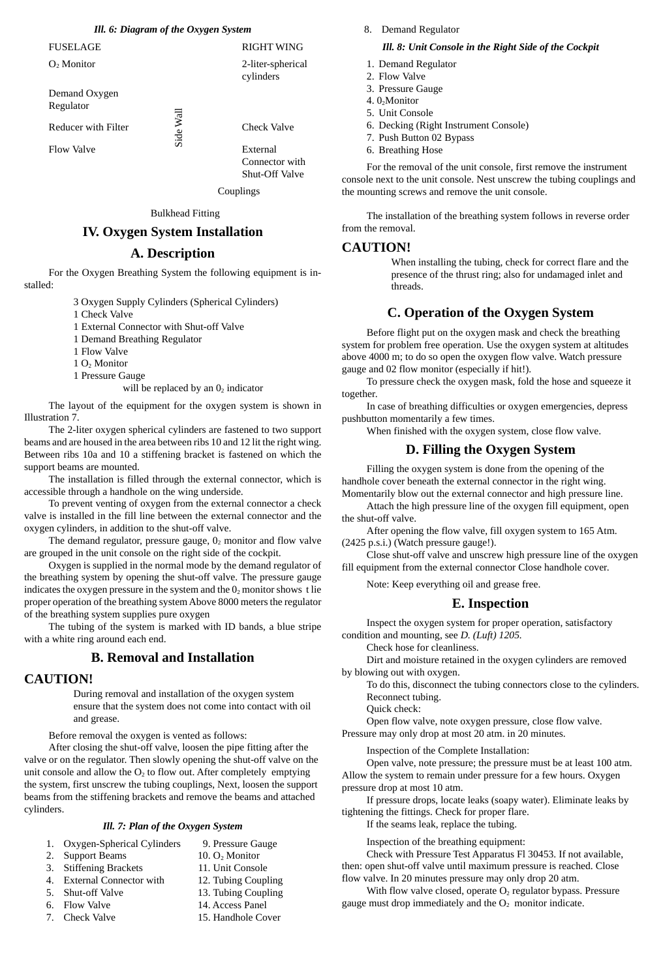## *Ill. 6: Diagram of the Oxygen System* FUSELAGE RIGHT WING

O2 Monitor 2-liter-spherical

Demand Oxygen Regulator Reducer with Filter  $\frac{1}{\frac{1}{\sqrt{2}}}$  Check Valve Flow Valve  $\overline{\omega}$  External

**Couplings** 

cylinders

Connector with Shut-Off Valve

Bulkhead Fitting

## **IV. Oxygen System Installation**

### **A. Description**

For the Oxygen Breathing System the following equipment is installed:

3 Oxygen Supply Cylinders (Spherical Cylinders)

- 1 Check Valve
- 1 External Connector with Shut-off Valve
- 1 Demand Breathing Regulator
- 1 Flow Valve
- 1 O<sub>2</sub> Monitor 1 Pressure Gauge
- will be replaced by an  $0<sub>2</sub>$  indicator

The layout of the equipment for the oxygen system is shown in

Illustration 7. The 2-liter oxygen spherical cylinders are fastened to two support beams and are housed in the area between ribs 10 and 12 lit the right wing. Between ribs 10a and 10 a stiffening bracket is fastened on which the support beams are mounted

The installation is filled through the external connector, which is accessible through a handhole on the wing underside.

To prevent venting of oxygen from the external connector a check valve is installed in the fill line between the external connector and the oxygen cylinders, in addition to the shut-off valve.

The demand regulator, pressure gauge,  $0<sub>2</sub>$  monitor and flow valve are grouped in the unit console on the right side of the cockpit. Oxygen is supplied in the normal mode by the demand regulator of

the breathing system by opening the shut-off valve. The pressure gauge indicates the oxygen pressure in the system and the  $0<sub>2</sub>$  monitor shows t lie proper operation of the breathing system Above 8000 meters the regulator

of the breathing system supplies pure oxygen The tubing of the system is marked with ID bands, a blue stripe with a white ring around each end.

## **B. Removal and Installation**

#### **CAUTION!**

During removal and installation of the oxygen system ensure that the system does not come into contact with oil and grease.

Before removal the oxygen is vented as follows:

After closing the shut-off valve, loosen the pipe fitting after the valve or on the regulator. Then slowly opening the shut-off valve on the unit console and allow the  $O<sub>2</sub>$  to flow out. After completely emptying the system, first unscrew the tubing couplings, Next, loosen the support beams from the stiffening brackets and remove the beams and attached cylinders. **Example 18. Follow Solution**<br> **Reducer** with Filter<br> **Example 18. External**<br> **Check Valve**<br> **External**<br> **Chometers**<br> **Chometers**<br> **Chometers**<br> **Chometers**<br> **Chometers**<br> **Chometers**<br> **Cover System Installation**<br> **Cover Sy** 

#### *Ill. 7: Plan of the Oxygen System*

- 1. Oxygen-Spherical Cylinders 9. Pressure Gauge<br>2. Support Beams 10.  $O_2$  Monitor
- 2. Support Beams 10. O<sub>2</sub> Monitor<br>3. Stiffening Brackets 11. Unit Console
- 3. Stiffening Brackets 11. Unit Console<br>
4. External Connector with 12. Tubing Coupling
- 4. External Connector with<br>5. Shut-off Valve
- 5. Shut-off Valve 13. Tubing Coupling<br>6. Flow Valve 14. Access Panel
- 6. Flow Valve 14. Access Panel<br>
7. Check Valve 15. Handhole Cover
- 

## 8. Demand Regulator *Ill. 8: Unit Console in the Right Side of the Cockpit*

- 1. Demand Regulator
- 2. Flow Valve
- 3. Pressure Gauge
- 4. 0<sub>2</sub>Monitor 5. Unit Console
- 
- 6. Decking (Right Instrument Console) 7. Push Button 02 Bypass
- 6. Breathing Hose
- 

For the removal of the unit console, first remove the instrument console next to the unit console. Nest unscrew the tubing couplings and the mounting screws and remove the unit console.

The installation of the breathing system follows in reverse order from the removal.

### **CAUTION!**

When installing the tubing, check for correct flare and the presence of the thrust ring; also for undamaged inlet and threads.

## **C. Operation of the Oxygen System**

Before flight put on the oxygen mask and check the breathing system for problem free operation. Use the oxygen system at altitudes above 4000 m; to do so open the oxygen flow valve. Watch pressure gauge and 02 flow monitor (especially if hit!).

To pressure check the oxygen mask, fold the hose and squeeze it together.

In case of breathing difficulties or oxygen emergencies, depress pushbutton momentarily a few times.

When finished with the oxygen system, close flow valve.

# **D. Filling the Oxygen System**

Filling the oxygen system is done from the opening of the

handhole cover beneath the external connector in the right wing. Momentarily blow out the external connector and high pressure line. Attach the high pressure line of the oxygen fill equipment, open the shut-off valve.

After opening the flow valve, fill oxygen system to 165 Atm.

(2425 p.s.i.) (Watch pressure gauge!). Close shut-off valve and unscrew high pressure line of the oxygen

fill equipment from the external connector Close handhole cover. Note: Keep everything oil and grease free.

# **E. Inspection**

Inspect the oxygen system for proper operation, satisfactory

condition and mounting, see *D. (Luft) 1205.* Check hose for cleanliness.

Dirt and moisture retained in the oxygen cylinders are removed by blowing out with oxygen.

To do this, disconnect the tubing connectors close to the cylinders. Reconnect tubing.

Quick check:

- Open flow valve, note oxygen pressure, close flow valve.
- Pressure may only drop at most 20 atm. in 20 minutes.

## Inspection of the Complete Installation:

Open valve, note pressure; the pressure must be at least 100 atm. Allow the system to remain under pressure for a few hours. Oxygen pressure drop at most 10 atm.

If pressure drops, locate leaks (soapy water). Eliminate leaks by tightening the fittings. Check for proper flare.

If the seams leak, replace the tubing.

Inspection of the breathing equipment:

Check with Pressure Test Apparatus Fl 30453. If not available, then: open shut-off valve until maximum pressure is reached. Close

flow valve. In 20 minutes pressure may only drop 20 atm

With flow valve closed, operate O<sub>2</sub> regulator bypass. Pressure gauge must drop immediately and the O<sub>2</sub> monitor indicate.